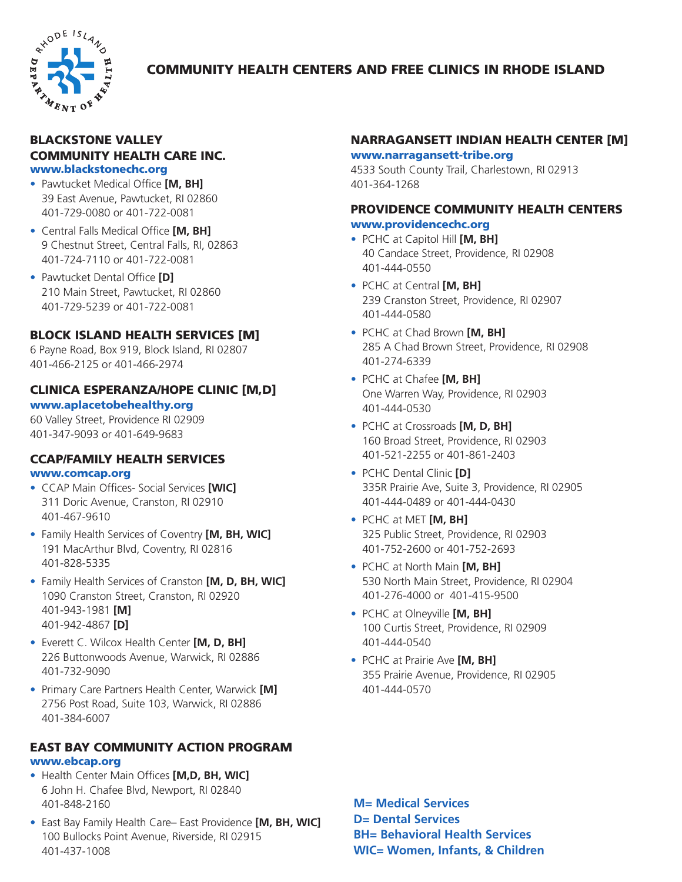

# COMMUNITY HEALTH CENTERS AND FREE CLINICS IN RHODE ISLAND

#### BLACKSTONE VALLEY COMMUNITY HEALTH CARE INC. www.blackstonechc.org

- Pawtucket Medical Office **[M, BH]** 39 East Avenue, Pawtucket, RI 02860 401-729-0080 or 401-722-0081
- Central Falls Medical Office **[M, BH]** 9 Chestnut Street, Central Falls, RI, 02863 401-724-7110 or 401-722-0081
- Pawtucket Dental Office **[D]** 210 Main Street, Pawtucket, RI 02860 401-729-5239 or 401-722-0081

## BLOCK ISLAND HEALTH SERVICES [M]

6 Payne Road, Box 919, Block Island, RI 02807 401-466-2125 or 401-466-2974

# CLINICA ESPERANZA/HOPE CLINIC [M,D]

#### www.aplacetobehealthy.org

60 Valley Street, Providence RI 02909 401-347-9093 or 401-649-9683

## CCAP/FAMILY HEALTH SERVICES www.comcap.org

- CCAP Main Offices- Social Services **[WIC]** 311 Doric Avenue, Cranston, RI 02910 401-467-9610
- Family Health Services of Coventry **[M, BH, WIC]** 191 MacArthur Blvd, Coventry, RI 02816 401-828-5335
- Family Health Services of Cranston **[M, D, BH, WIC]** 1090 Cranston Street, Cranston, RI 02920 401-943-1981 **[M]** 401-942-4867 **[D]**
- Everett C. Wilcox Health Center **[M, D, BH]** 226 Buttonwoods Avenue, Warwick, RI 02886 401-732-9090
- Primary Care Partners Health Center, Warwick **[M]** 2756 Post Road, Suite 103, Warwick, RI 02886 401-384-6007

### EAST BAY COMMUNITY ACTION PROGRAM www.ebcap.org

- Health Center Main Offices **[M,D, BH, WIC]** 6 John H. Chafee Blvd, Newport, RI 02840 401-848-2160
- East Bay Family Health Care– East Providence **[M, BH, WIC]** 100 Bullocks Point Avenue, Riverside, RI 02915 401-437-1008

## NARRAGANSETT INDIAN HEALTH CENTER [M]

#### www.narragansett-tribe.org

4533 South County Trail, Charlestown, RI 02913 401-364-1268

## PROVIDENCE COMMUNITY HEALTH CENTERS www.providencechc.org

- PCHC at Capitol Hill **[M, BH]** 40 Candace Street, Providence, RI 02908 401-444-0550
- PCHC at Central **[M, BH]** 239 Cranston Street, Providence, RI 02907 401-444-0580
- PCHC at Chad Brown **[M, BH]** 285 A Chad Brown Street, Providence, RI 02908 401-274-6339
- PCHC at Chafee **[M, BH]** One Warren Way, Providence, RI 02903 401-444-0530
- PCHC at Crossroads **[M, D, BH]** 160 Broad Street, Providence, RI 02903 401-521-2255 or 401-861-2403
- PCHC Dental Clinic **[D]** 335R Prairie Ave, Suite 3, Providence, RI 02905 401-444-0489 or 401-444-0430
- PCHC at MET **[M, BH]** 325 Public Street, Providence, RI 02903 401-752-2600 or 401-752-2693
- PCHC at North Main **[M, BH]** 530 North Main Street, Providence, RI 02904 401-276-4000 or 401-415-9500
- PCHC at Olneyville **[M, BH]** 100 Curtis Street, Providence, RI 02909 401-444-0540
- PCHC at Prairie Ave **[M, BH]** 355 Prairie Avenue, Providence, RI 02905 401-444-0570

**M= Medical Services D= Dental Services BH= Behavioral Health Services WIC= Women, Infants, & Children**